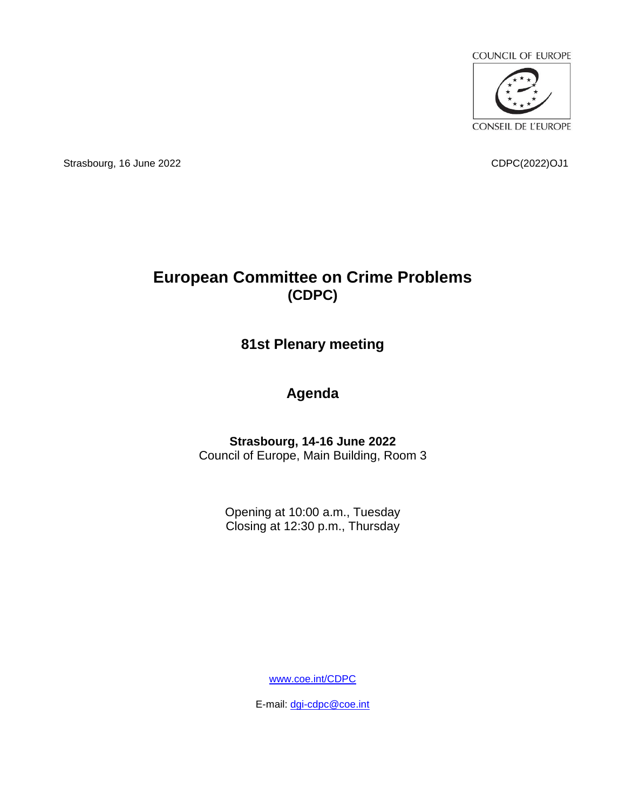

Strasbourg, 16 June 2022 CDPC(2022)OJ1

# **European Committee on Crime Problems (CDPC)**

## **81st Plenary meeting**

## **Agenda**

#### **Strasbourg, 14-16 June 2022** Council of Europe, Main Building, Room 3

Opening at 10:00 a.m., Tuesday Closing at 12:30 p.m., Thursday

[www.coe.int/CDPC](http://www.coe.int/CDPC)

E-mail: [dgi-cdpc@coe.int](mailto:dgi-cdpc@coe.int)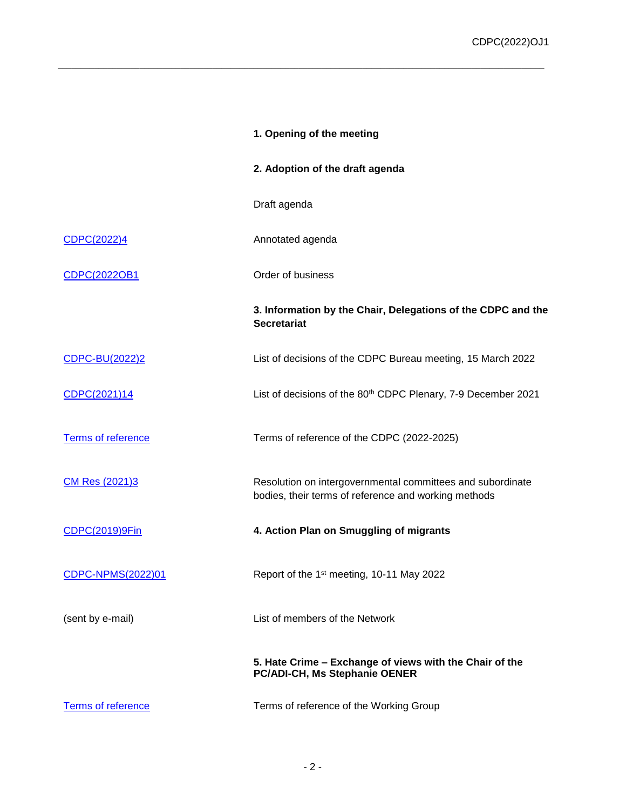|                          | 1. Opening of the meeting                                                                                          |
|--------------------------|--------------------------------------------------------------------------------------------------------------------|
|                          | 2. Adoption of the draft agenda                                                                                    |
|                          | Draft agenda                                                                                                       |
| CDPC(2022)4              | Annotated agenda                                                                                                   |
| CDPC(2022OB1             | Order of business                                                                                                  |
|                          | 3. Information by the Chair, Delegations of the CDPC and the<br><b>Secretariat</b>                                 |
| CDPC-BU(2022)2           | List of decisions of the CDPC Bureau meeting, 15 March 2022                                                        |
| CDPC(2021)14             | List of decisions of the 80 <sup>th</sup> CDPC Plenary, 7-9 December 2021                                          |
| Terms of reference       | Terms of reference of the CDPC (2022-2025)                                                                         |
| CM Res (2021)3           | Resolution on intergovernmental committees and subordinate<br>bodies, their terms of reference and working methods |
| <b>CDPC(2019)9Fin</b>    | 4. Action Plan on Smuggling of migrants                                                                            |
| <b>CDPC-NPMS(2022)01</b> | Report of the 1 <sup>st</sup> meeting, 10-11 May 2022                                                              |
| (sent by e-mail)         | List of members of the Network                                                                                     |
|                          | 5. Hate Crime - Exchange of views with the Chair of the<br>PC/ADI-CH, Ms Stephanie OENER                           |
| Terms of reference       | Terms of reference of the Working Group                                                                            |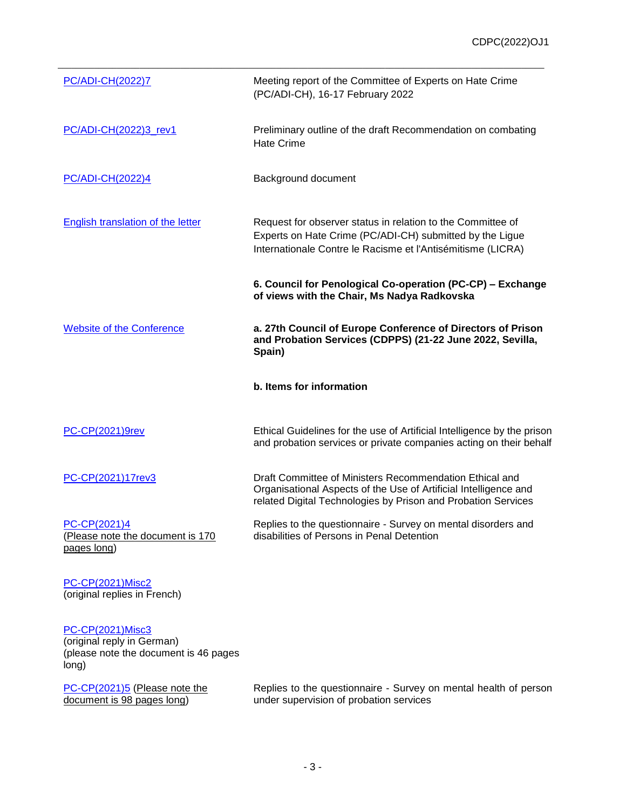| <b>PC/ADI-CH(2022)7</b>                                         | Meeting report of the Committee of Experts on Hate Crime<br>(PC/ADI-CH), 16-17 February 2022                                                                                                 |
|-----------------------------------------------------------------|----------------------------------------------------------------------------------------------------------------------------------------------------------------------------------------------|
| PC/ADI-CH(2022)3_rev1                                           | Preliminary outline of the draft Recommendation on combating<br><b>Hate Crime</b>                                                                                                            |
| PC/ADI-CH(2022)4                                                | Background document                                                                                                                                                                          |
| <b>English translation of the letter</b>                        | Request for observer status in relation to the Committee of<br>Experts on Hate Crime (PC/ADI-CH) submitted by the Ligue<br>Internationale Contre le Racisme et l'Antisémitisme (LICRA)       |
|                                                                 | 6. Council for Penological Co-operation (PC-CP) - Exchange<br>of views with the Chair, Ms Nadya Radkovska                                                                                    |
| <b>Website of the Conference</b>                                | a. 27th Council of Europe Conference of Directors of Prison<br>and Probation Services (CDPPS) (21-22 June 2022, Sevilla,<br>Spain)                                                           |
|                                                                 | b. Items for information                                                                                                                                                                     |
| <b>PC-CP(2021)9rev</b>                                          | Ethical Guidelines for the use of Artificial Intelligence by the prison<br>and probation services or private companies acting on their behalf                                                |
| PC-CP(2021)17rev3                                               | Draft Committee of Ministers Recommendation Ethical and<br>Organisational Aspects of the Use of Artificial Intelligence and<br>related Digital Technologies by Prison and Probation Services |
| PC-CP(2021)4<br>(Please note the document is 170<br>pages long) | Replies to the questionnaire - Survey on mental disorders and<br>disabilities of Persons in Penal Detention                                                                                  |
| DC CD/2021\Micc2                                                |                                                                                                                                                                                              |

[PC-CP\(2021\)Misc2](https://rm.coe.int/pc-cp-2021-misc-2-reponses-originales-en-francais-au-questionnaire-sur/1680a25a8e) (original replies in French)

#### [PC-CP\(2021\)Misc3](https://rm.coe.int/pc-cp-2021-misc-3-reply-from-germany-original-language-german-survey-m/1680a25a8d)

(original reply in German) (please note the document is 46 pages long)

[PC-CP\(2021\)5](https://rm.coe.int/pc-cp-2021-5-e-replies-to-questionnaire-on-mental-health-probation-/1680a249d2) (Please note the document is 98 pages long)

Replies to the questionnaire - Survey on mental health of person under supervision of probation services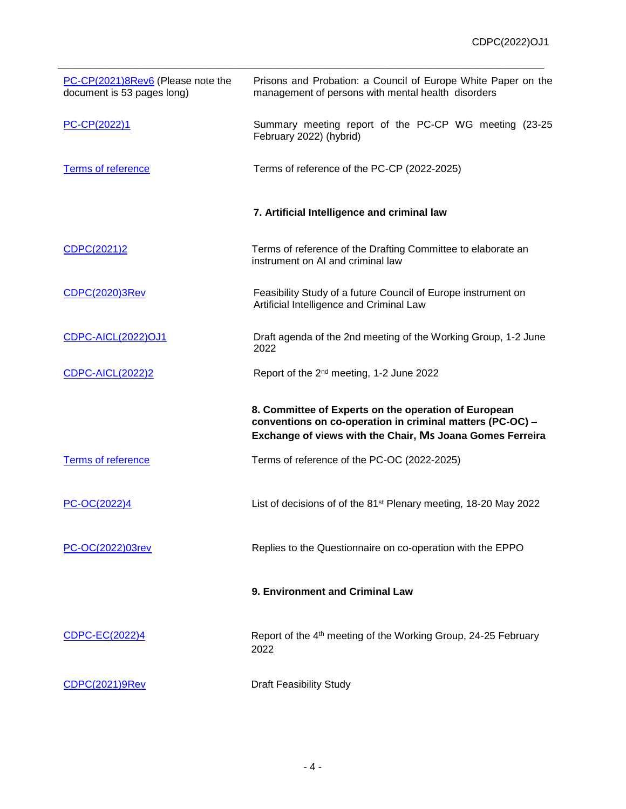| PC-CP(2021)8Rev6 (Please note the<br>document is 53 pages long) | Prisons and Probation: a Council of Europe White Paper on the<br>management of persons with mental health disorders                                                            |
|-----------------------------------------------------------------|--------------------------------------------------------------------------------------------------------------------------------------------------------------------------------|
| PC-CP(2022)1                                                    | Summary meeting report of the PC-CP WG meeting (23-25<br>February 2022) (hybrid)                                                                                               |
| Terms of reference                                              | Terms of reference of the PC-CP (2022-2025)                                                                                                                                    |
|                                                                 | 7. Artificial Intelligence and criminal law                                                                                                                                    |
| CDPC(2021)2                                                     | Terms of reference of the Drafting Committee to elaborate an<br>instrument on AI and criminal law                                                                              |
| CDPC(2020)3Rev                                                  | Feasibility Study of a future Council of Europe instrument on<br>Artificial Intelligence and Criminal Law                                                                      |
| <b>CDPC-AICL(2022)OJ1</b>                                       | Draft agenda of the 2nd meeting of the Working Group, 1-2 June<br>2022                                                                                                         |
| <b>CDPC-AICL(2022)2</b>                                         | Report of the 2 <sup>nd</sup> meeting, 1-2 June 2022                                                                                                                           |
|                                                                 | 8. Committee of Experts on the operation of European<br>conventions on co-operation in criminal matters (PC-OC) -<br>Exchange of views with the Chair, Ms Joana Gomes Ferreira |
| <b>Terms of reference</b>                                       | Terms of reference of the PC-OC (2022-2025)                                                                                                                                    |
| PC-OC(2022)4                                                    | List of decisions of of the 81 <sup>st</sup> Plenary meeting, 18-20 May 2022                                                                                                   |
| PC-OC(2022)03rev                                                | Replies to the Questionnaire on co-operation with the EPPO                                                                                                                     |
|                                                                 | 9. Environment and Criminal Law                                                                                                                                                |
| CDPC-EC(2022)4                                                  | Report of the 4 <sup>th</sup> meeting of the Working Group, 24-25 February<br>2022                                                                                             |
| CDPC(2021)9Rev                                                  | <b>Draft Feasibility Study</b>                                                                                                                                                 |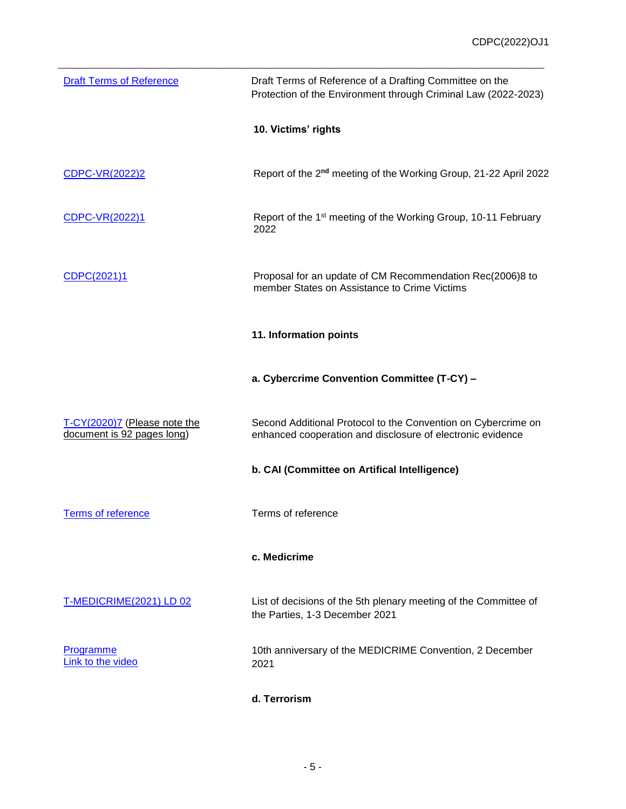| <b>Draft Terms of Reference</b>                            | Draft Terms of Reference of a Drafting Committee on the<br>Protection of the Environment through Criminal Law (2022-2023)   |
|------------------------------------------------------------|-----------------------------------------------------------------------------------------------------------------------------|
|                                                            | 10. Victims' rights                                                                                                         |
| CDPC-VR(2022)2                                             | Report of the 2 <sup>nd</sup> meeting of the Working Group, 21-22 April 2022                                                |
| CDPC-VR(2022)1                                             | Report of the 1 <sup>st</sup> meeting of the Working Group, 10-11 February<br>2022                                          |
| CDPC(2021)1                                                | Proposal for an update of CM Recommendation Rec(2006)8 to<br>member States on Assistance to Crime Victims                   |
|                                                            | 11. Information points                                                                                                      |
|                                                            | a. Cybercrime Convention Committee (T-CY) -                                                                                 |
| T-CY(2020)7 (Please note the<br>document is 92 pages long) | Second Additional Protocol to the Convention on Cybercrime on<br>enhanced cooperation and disclosure of electronic evidence |
|                                                            | b. CAI (Committee on Artifical Intelligence)                                                                                |
| Terms of reference                                         | Terms of reference                                                                                                          |
|                                                            | c. Medicrime                                                                                                                |
| <b>T-MEDICRIME(2021) LD 02</b>                             | List of decisions of the 5th plenary meeting of the Committee of<br>the Parties, 1-3 December 2021                          |
| Programme<br>Link to the video                             | 10th anniversary of the MEDICRIME Convention, 2 December<br>2021                                                            |
|                                                            | d. Terrorism                                                                                                                |